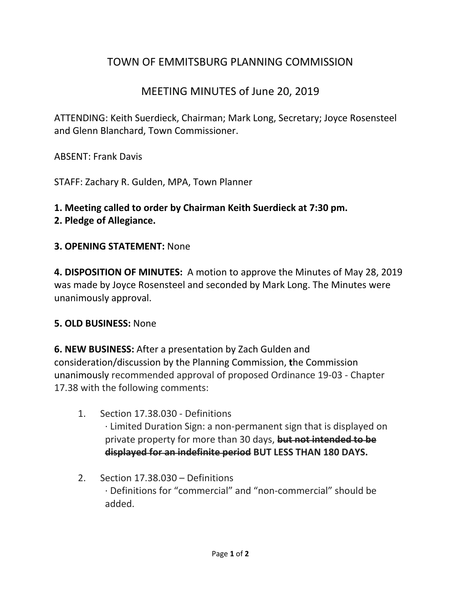## TOWN OF EMMITSBURG PLANNING COMMISSION

## MEETING MINUTES of June 20, 2019

ATTENDING: Keith Suerdieck, Chairman; Mark Long, Secretary; Joyce Rosensteel and Glenn Blanchard, Town Commissioner.

ABSENT: Frank Davis

STAFF: Zachary R. Gulden, MPA, Town Planner

# **1. Meeting called to order by Chairman Keith Suerdieck at 7:30 pm.**

#### **2. Pledge of Allegiance.**

#### **3. OPENING STATEMENT:** None

**4. DISPOSITION OF MINUTES:** A motion to approve the Minutes of May 28, 2019 was made by Joyce Rosensteel and seconded by Mark Long. The Minutes were unanimously approval.

#### **5. OLD BUSINESS:** None

**6. NEW BUSINESS:** After a presentation by Zach Gulden and consideration/discussion by the Planning Commission, **t**he Commission unanimously recommended approval of proposed Ordinance 19-03 - Chapter 17.38 with the following comments:

- 1. Section 17.38.030 Definitions · Limited Duration Sign: a non-permanent sign that is displayed on private property for more than 30 days, **but not intended to be displayed for an indefinite period BUT LESS THAN 180 DAYS.**
- 2. Section 17.38.030 Definitions · Definitions for "commercial" and "non-commercial" should be added.